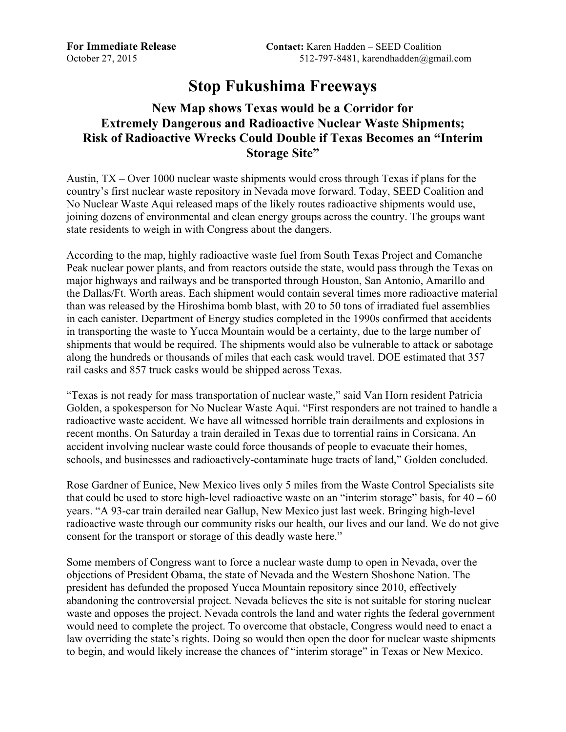## **Stop Fukushima Freeways**

## **New Map shows Texas would be a Corridor for Extremely Dangerous and Radioactive Nuclear Waste Shipments; Risk of Radioactive Wrecks Could Double if Texas Becomes an "Interim Storage Site"**

Austin, TX – Over 1000 nuclear waste shipments would cross through Texas if plans for the country's first nuclear waste repository in Nevada move forward. Today, SEED Coalition and No Nuclear Waste Aqui released maps of the likely routes radioactive shipments would use, joining dozens of environmental and clean energy groups across the country. The groups want state residents to weigh in with Congress about the dangers.

According to the map, highly radioactive waste fuel from South Texas Project and Comanche Peak nuclear power plants, and from reactors outside the state, would pass through the Texas on major highways and railways and be transported through Houston, San Antonio, Amarillo and the Dallas/Ft. Worth areas. Each shipment would contain several times more radioactive material than was released by the Hiroshima bomb blast, with 20 to 50 tons of irradiated fuel assemblies in each canister. Department of Energy studies completed in the 1990s confirmed that accidents in transporting the waste to Yucca Mountain would be a certainty, due to the large number of shipments that would be required. The shipments would also be vulnerable to attack or sabotage along the hundreds or thousands of miles that each cask would travel. DOE estimated that 357 rail casks and 857 truck casks would be shipped across Texas.

"Texas is not ready for mass transportation of nuclear waste," said Van Horn resident Patricia Golden, a spokesperson for No Nuclear Waste Aqui. "First responders are not trained to handle a radioactive waste accident. We have all witnessed horrible train derailments and explosions in recent months. On Saturday a train derailed in Texas due to torrential rains in Corsicana. An accident involving nuclear waste could force thousands of people to evacuate their homes, schools, and businesses and radioactively-contaminate huge tracts of land," Golden concluded.

Rose Gardner of Eunice, New Mexico lives only 5 miles from the Waste Control Specialists site that could be used to store high-level radioactive waste on an "interim storage" basis, for  $40 - 60$ years. "A 93-car train derailed near Gallup, New Mexico just last week. Bringing high-level radioactive waste through our community risks our health, our lives and our land. We do not give consent for the transport or storage of this deadly waste here."

Some members of Congress want to force a nuclear waste dump to open in Nevada, over the objections of President Obama, the state of Nevada and the Western Shoshone Nation. The president has defunded the proposed Yucca Mountain repository since 2010, effectively abandoning the controversial project. Nevada believes the site is not suitable for storing nuclear waste and opposes the project. Nevada controls the land and water rights the federal government would need to complete the project. To overcome that obstacle, Congress would need to enact a law overriding the state's rights. Doing so would then open the door for nuclear waste shipments to begin, and would likely increase the chances of "interim storage" in Texas or New Mexico.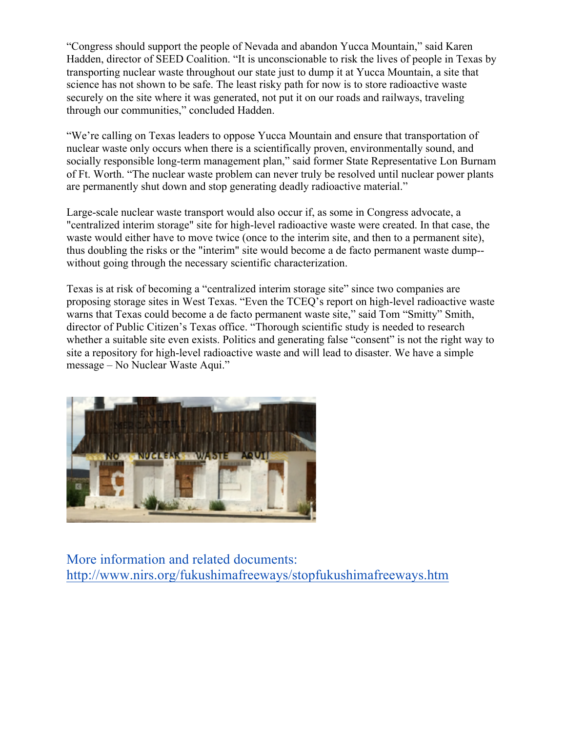"Congress should support the people of Nevada and abandon Yucca Mountain," said Karen Hadden, director of SEED Coalition. "It is unconscionable to risk the lives of people in Texas by transporting nuclear waste throughout our state just to dump it at Yucca Mountain, a site that science has not shown to be safe. The least risky path for now is to store radioactive waste securely on the site where it was generated, not put it on our roads and railways, traveling through our communities," concluded Hadden.

"We're calling on Texas leaders to oppose Yucca Mountain and ensure that transportation of nuclear waste only occurs when there is a scientifically proven, environmentally sound, and socially responsible long-term management plan," said former State Representative Lon Burnam of Ft. Worth. "The nuclear waste problem can never truly be resolved until nuclear power plants are permanently shut down and stop generating deadly radioactive material."

Large-scale nuclear waste transport would also occur if, as some in Congress advocate, a "centralized interim storage" site for high-level radioactive waste were created. In that case, the waste would either have to move twice (once to the interim site, and then to a permanent site), thus doubling the risks or the "interim" site would become a de facto permanent waste dump- without going through the necessary scientific characterization.

Texas is at risk of becoming a "centralized interim storage site" since two companies are proposing storage sites in West Texas. "Even the TCEQ's report on high-level radioactive waste warns that Texas could become a de facto permanent waste site," said Tom "Smitty" Smith, director of Public Citizen's Texas office. "Thorough scientific study is needed to research whether a suitable site even exists. Politics and generating false "consent" is not the right way to site a repository for high-level radioactive waste and will lead to disaster. We have a simple message – No Nuclear Waste Aqui."



More information and related documents: http://www.nirs.org/fukushimafreeways/stopfukushimafreeways.htm